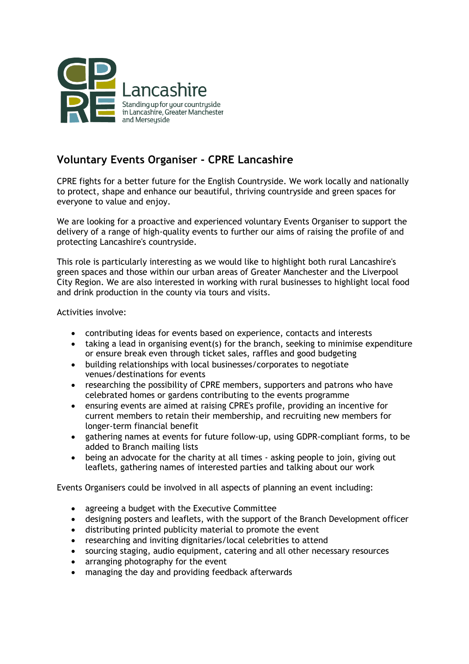

## **Voluntary Events Organiser - CPRE Lancashire**

CPRE fights for a better future for the English Countryside. We work locally and nationally to protect, shape and enhance our beautiful, thriving countryside and green spaces for everyone to value and enjoy.

We are looking for a proactive and experienced voluntary Events Organiser to support the delivery of a range of high-quality events to further our aims of raising the profile of and protecting Lancashire's countryside.

This role is particularly interesting as we would like to highlight both rural Lancashire's green spaces and those within our urban areas of Greater Manchester and the Liverpool City Region. We are also interested in working with rural businesses to highlight local food and drink production in the county via tours and visits.

Activities involve:

- contributing ideas for events based on experience, contacts and interests
- taking a lead in organising event(s) for the branch, seeking to minimise expenditure or ensure break even through ticket sales, raffles and good budgeting
- building relationships with local businesses/corporates to negotiate venues/destinations for events
- researching the possibility of CPRE members, supporters and patrons who have celebrated homes or gardens contributing to the events programme
- ensuring events are aimed at raising CPRE's profile, providing an incentive for current members to retain their membership, and recruiting new members for longer-term financial benefit
- gathering names at events for future follow-up, using GDPR-compliant forms, to be added to Branch mailing lists
- being an advocate for the charity at all times asking people to join, giving out leaflets, gathering names of interested parties and talking about our work

Events Organisers could be involved in all aspects of planning an event including:

- agreeing a budget with the Executive Committee
- designing posters and leaflets, with the support of the Branch Development officer
- distributing printed publicity material to promote the event
- researching and inviting dignitaries/local celebrities to attend
- sourcing staging, audio equipment, catering and all other necessary resources
- arranging photography for the event
- managing the day and providing feedback afterwards